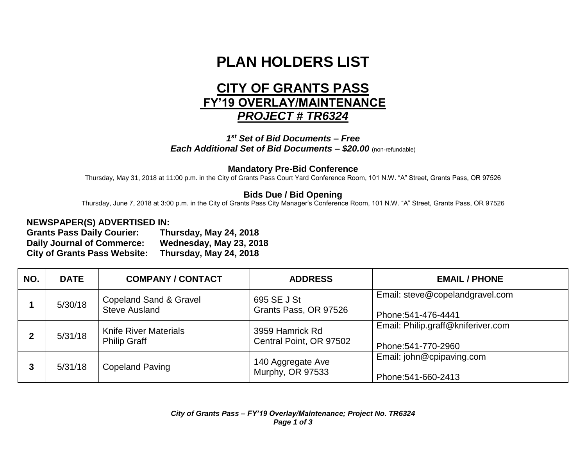# **PLAN HOLDERS LIST**

# **CITY OF GRANTS PASS FY'19 OVERLAY/MAINTENANCE**  *PROJECT # TR6324*

*1 st Set of Bid Documents – Free Each Additional Set of Bid Documents – \$20.00* (non-refundable)

#### **Mandatory Pre-Bid Conference**

Thursday, May 31, 2018 at 11:00 p.m. in the City of Grants Pass Court Yard Conference Room, 101 N.W. "A" Street, Grants Pass, OR 97526

## **Bids Due / Bid Opening**

Thursday, June 7, 2018 at 3:00 p.m. in the City of Grants Pass City Manager's Conference Room, 101 N.W. "A" Street, Grants Pass, OR 97526

## **NEWSPAPER(S) ADVERTISED IN:**

**Grants Pass Daily Courier: Thursday, May 24, 2018 Daily Journal of Commerce: Wednesday, May 23, 2018 City of Grants Pass Website: Thursday, May 24, 2018**

| NO. | <b>DATE</b> | <b>COMPANY / CONTACT</b>                                  | <b>ADDRESS</b>                             | <b>EMAIL / PHONE</b>                                      |
|-----|-------------|-----------------------------------------------------------|--------------------------------------------|-----------------------------------------------------------|
|     | 5/30/18     | <b>Copeland Sand &amp; Gravel</b><br><b>Steve Ausland</b> | 695 SE J St<br>Grants Pass, OR 97526       | Email: steve@copelandgravel.com<br>Phone: 541-476-4441    |
|     | 5/31/18     | <b>Knife River Materials</b><br><b>Philip Graff</b>       | 3959 Hamrick Rd<br>Central Point, OR 97502 | Email: Philip.graff@kniferiver.com<br>Phone: 541-770-2960 |
| 3   | 5/31/18     | <b>Copeland Paving</b>                                    | 140 Aggregate Ave<br>Murphy, OR 97533      | Email: john@cpipaving.com<br>Phone: 541-660-2413          |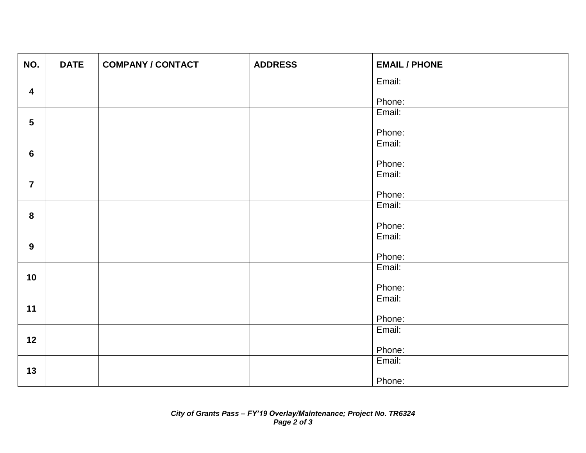| NO.              | <b>DATE</b> | <b>COMPANY / CONTACT</b> | <b>ADDRESS</b> | <b>EMAIL / PHONE</b> |
|------------------|-------------|--------------------------|----------------|----------------------|
|                  |             |                          |                | Email:               |
| $\boldsymbol{4}$ |             |                          |                | Phone:               |
|                  |             |                          |                | Email:               |
| $5\phantom{.0}$  |             |                          |                | Phone:               |
|                  |             |                          |                | Email:               |
| $6\phantom{1}$   |             |                          |                |                      |
|                  |             |                          |                | Phone:<br>Email:     |
| $\overline{7}$   |             |                          |                |                      |
|                  |             |                          |                | Phone:               |
|                  |             |                          |                | Email:               |
| 8                |             |                          |                | Phone:               |
|                  |             |                          |                | Email:               |
| $\boldsymbol{9}$ |             |                          |                |                      |
|                  |             |                          |                | Phone:<br>Email:     |
| 10               |             |                          |                |                      |
|                  |             |                          |                | Phone:               |
|                  |             |                          |                | Email:               |
| 11               |             |                          |                | Phone:               |
|                  |             |                          |                | Email:               |
| 12               |             |                          |                |                      |
|                  |             |                          |                | Phone:<br>Email:     |
| 13               |             |                          |                |                      |
|                  |             |                          |                | Phone:               |